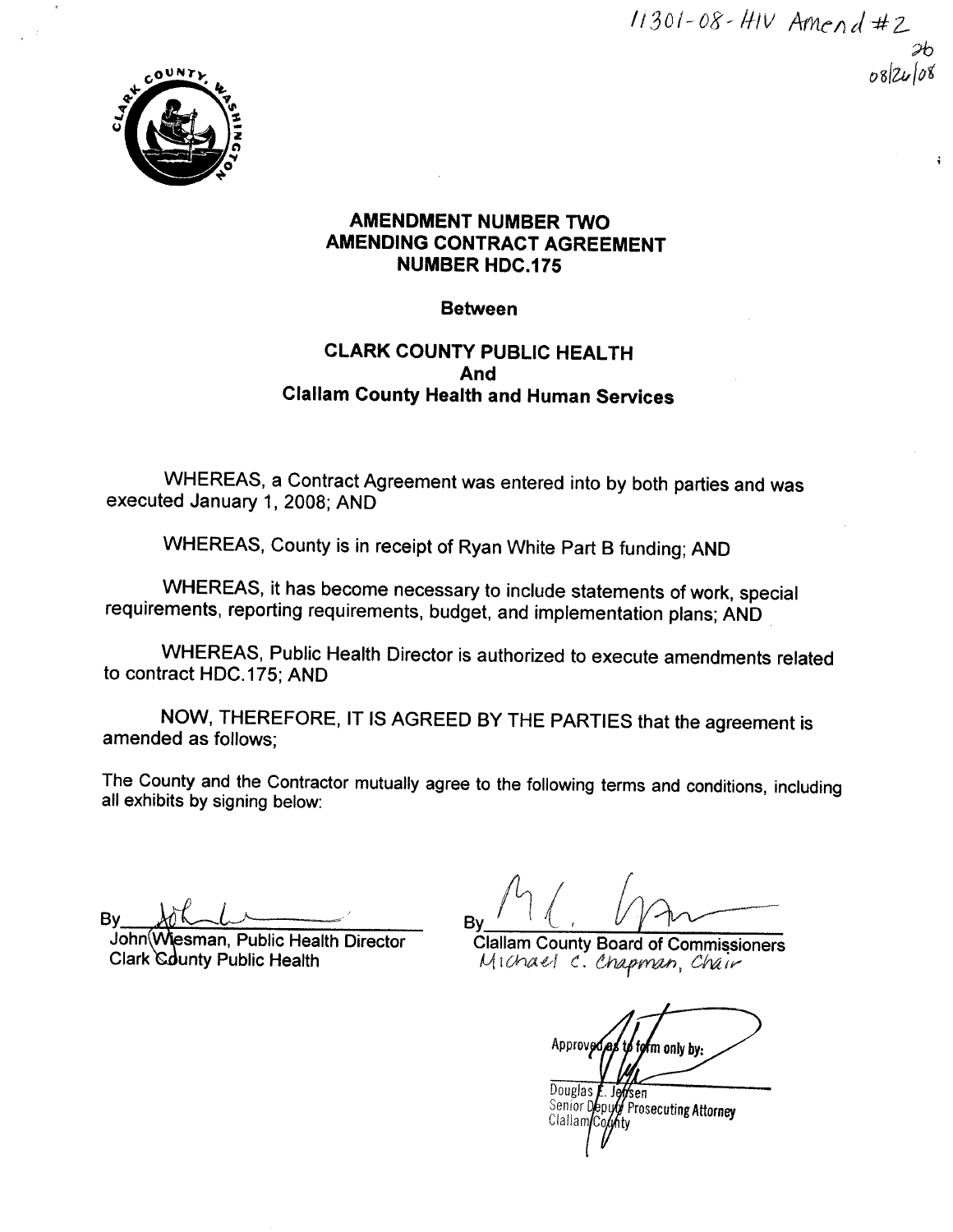$11301 - 08 - HIV$  Amend #2  $\mathfrak{p}$  $082408$ 



# AMENDMENT NUMBER TWO AMENDING CONTRACT AGREEMENT NUMBER HDC.175

# Between

# CLARK COUNTY PUBLIC HEALTH And Clallam County Health and Human Services

WHEREAS, a Contract Agreement was entered into by both parties and was executed January 1, 2008; AND

WHEREAS, County is in receipt of Ryan White Part B funding; AND

WHEREAS, it has become necessary to include statements of work, special requirements, reporting requirements, budget, and implementation plans; AND

WHEREAS, Public Health Director is authorized to execute amendments related to contract HDC.175; AND

NOW, THEREFORE, lT lS AGREED BY THE PARTIES that the agreement is amended as follows;

The County and the Contractor mutually agree to the following terms and conditions, including all exhibits by signing below:

Bv

John(W John(Wiesman, Public Health Director<br>Clark County Public Health

By

**Clallam County Board of Commissioners** Michael C. Chapman, Châu

Approveda <sup>'</sup>m onlv bv

Douglas E. Jeffsen<br>Senior Deputy Prosecuting Attorney Clallam/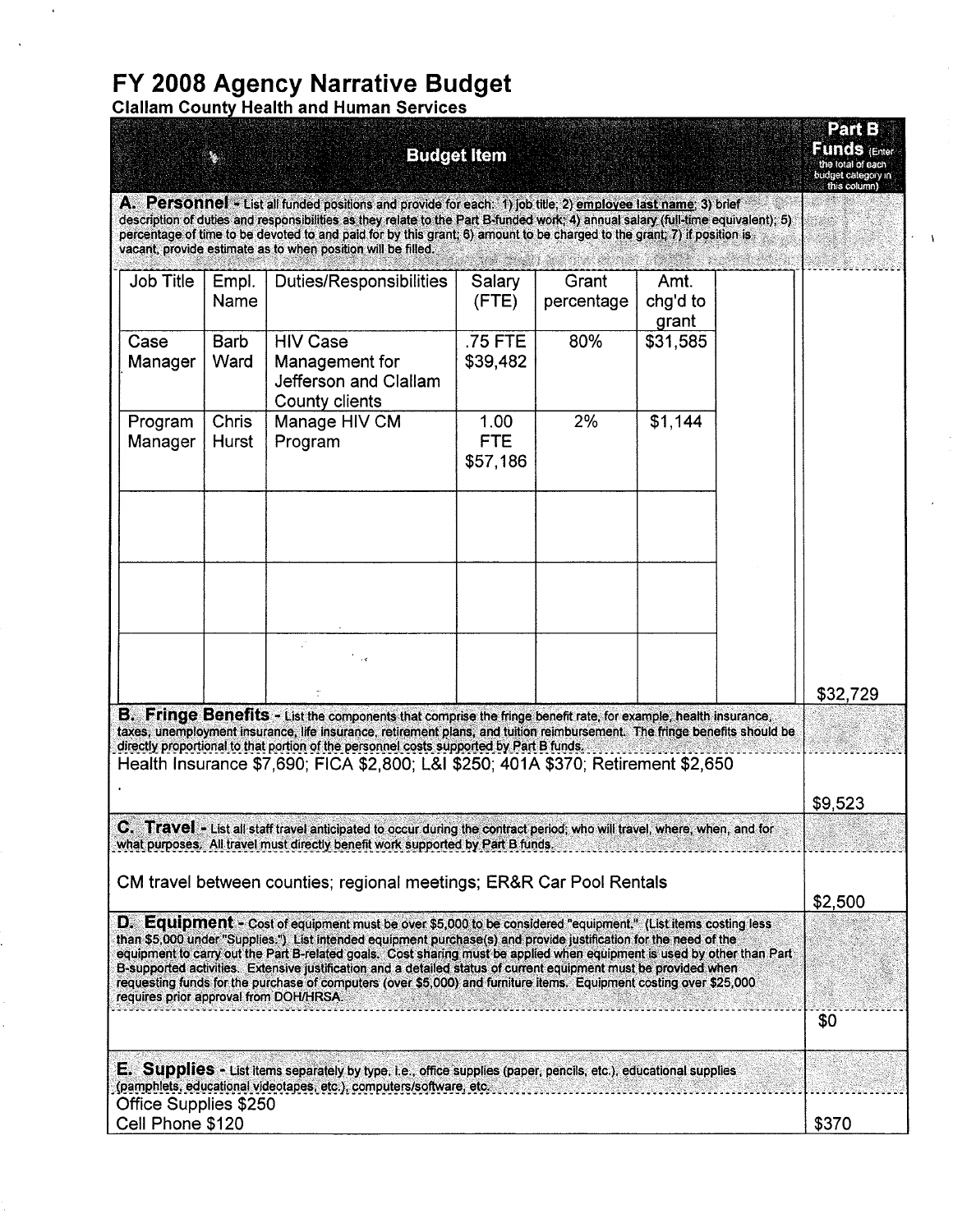# FY 2008 Agency Narrative Budget<br>Clallam County Health and Human Services

|                                                                                                                                                                                                                                                                                                                                                                                                                                                                                                                                                                                                                                                  |                    | <b>Budget Item</b>  |                                                                                                                                                                                                                                                                                                                                                                                                                                             |                                |                     |                           |  |             |
|--------------------------------------------------------------------------------------------------------------------------------------------------------------------------------------------------------------------------------------------------------------------------------------------------------------------------------------------------------------------------------------------------------------------------------------------------------------------------------------------------------------------------------------------------------------------------------------------------------------------------------------------------|--------------------|---------------------|---------------------------------------------------------------------------------------------------------------------------------------------------------------------------------------------------------------------------------------------------------------------------------------------------------------------------------------------------------------------------------------------------------------------------------------------|--------------------------------|---------------------|---------------------------|--|-------------|
|                                                                                                                                                                                                                                                                                                                                                                                                                                                                                                                                                                                                                                                  |                    |                     | A. Personnel - List all funded positions and provide for each: 1) job title, 2) employee last name; 3) brief<br>description of duties and responsibilities as they relate to the Part B-funded work; 4) annual salary (full-time equivalent); 5)<br>percentage of time to be devoted to and paid for by this grant; 6) amount to be charged to the grant; 7) if position is<br>vacant, provide estimate as to when position will be filled. |                                |                     |                           |  | this column |
|                                                                                                                                                                                                                                                                                                                                                                                                                                                                                                                                                                                                                                                  | <b>Job Title</b>   | Empl.<br>Name       | <b>Duties/Responsibilities</b>                                                                                                                                                                                                                                                                                                                                                                                                              | Salary<br>(FTE)                | Grant<br>percentage | Amt.<br>chg'd to<br>grant |  |             |
|                                                                                                                                                                                                                                                                                                                                                                                                                                                                                                                                                                                                                                                  | Case<br>Manager    | <b>Barb</b><br>Ward | <b>HIV Case</b><br>Management for<br>Jefferson and Clallam<br><b>County clients</b>                                                                                                                                                                                                                                                                                                                                                         | .75 FTE<br>\$39,482            | 80%                 | \$31,585                  |  |             |
|                                                                                                                                                                                                                                                                                                                                                                                                                                                                                                                                                                                                                                                  | Program<br>Manager | Chris<br>Hurst      | Manage HIV CM<br>Program                                                                                                                                                                                                                                                                                                                                                                                                                    | 1.00<br><b>FTE</b><br>\$57,186 | 2%                  | \$1,144                   |  |             |
|                                                                                                                                                                                                                                                                                                                                                                                                                                                                                                                                                                                                                                                  |                    |                     |                                                                                                                                                                                                                                                                                                                                                                                                                                             |                                |                     |                           |  |             |
|                                                                                                                                                                                                                                                                                                                                                                                                                                                                                                                                                                                                                                                  |                    |                     |                                                                                                                                                                                                                                                                                                                                                                                                                                             |                                |                     |                           |  |             |
|                                                                                                                                                                                                                                                                                                                                                                                                                                                                                                                                                                                                                                                  |                    |                     |                                                                                                                                                                                                                                                                                                                                                                                                                                             |                                |                     |                           |  | \$32,729    |
| B. Fringe Benefits - List the components that comprise the fringe benefit rate, for example, health insurance,<br>taxes, unemployment insurance, life insurance, retirement plans, and tuition reimbursement. The fringe benefits should be<br>directly proportional to that portion of the personnel costs supported by Part B funds.<br>Health Insurance \$7,690; FICA \$2,800; L&I \$250; 401A \$370; Retirement \$2,650                                                                                                                                                                                                                      |                    |                     |                                                                                                                                                                                                                                                                                                                                                                                                                                             |                                |                     |                           |  |             |
|                                                                                                                                                                                                                                                                                                                                                                                                                                                                                                                                                                                                                                                  |                    |                     |                                                                                                                                                                                                                                                                                                                                                                                                                                             |                                |                     |                           |  | \$9,523     |
|                                                                                                                                                                                                                                                                                                                                                                                                                                                                                                                                                                                                                                                  |                    |                     | C. Travel - List all staff travel anticipated to occur during the contract period; who will travel, where, when, and for<br>what purposes. All travel must directly benefit work supported by Part B funds.                                                                                                                                                                                                                                 |                                |                     |                           |  |             |
|                                                                                                                                                                                                                                                                                                                                                                                                                                                                                                                                                                                                                                                  |                    |                     | CM travel between counties; regional meetings; ER&R Car Pool Rentals                                                                                                                                                                                                                                                                                                                                                                        |                                |                     |                           |  | \$2,500     |
| D. Equipment - Cost of equipment must be over \$5,000 to be considered "equipment." (List items costing less<br>than \$5,000 under "Supplies.") List intended equipment purchase(s) and provide justification for the need of the<br>equipment to carry out the Part B-related goals. Cost sharing must be applied when equipment is used by other than Part<br>B-supported activities. Extensive justification and a detailed status of current equipment must be provided when<br>requesting funds for the purchase of computers (over \$5,000) and furniture items. Equipment costing over \$25,000<br>requires prior approval from DOH/HRSA. |                    |                     |                                                                                                                                                                                                                                                                                                                                                                                                                                             |                                |                     |                           |  |             |
|                                                                                                                                                                                                                                                                                                                                                                                                                                                                                                                                                                                                                                                  |                    |                     |                                                                                                                                                                                                                                                                                                                                                                                                                                             |                                |                     |                           |  | \$0         |
| <b>E. Supplies -</b> List Items separately by type, i.e., office supplies (paper, pencils, etc.), educational supplies<br>(pamphlets, educational videotapes, etc.), computers/software, etc.                                                                                                                                                                                                                                                                                                                                                                                                                                                    |                    |                     |                                                                                                                                                                                                                                                                                                                                                                                                                                             |                                |                     |                           |  |             |
| <b>Office Supplies \$250</b><br>Cell Phone \$120                                                                                                                                                                                                                                                                                                                                                                                                                                                                                                                                                                                                 |                    |                     |                                                                                                                                                                                                                                                                                                                                                                                                                                             |                                |                     |                           |  |             |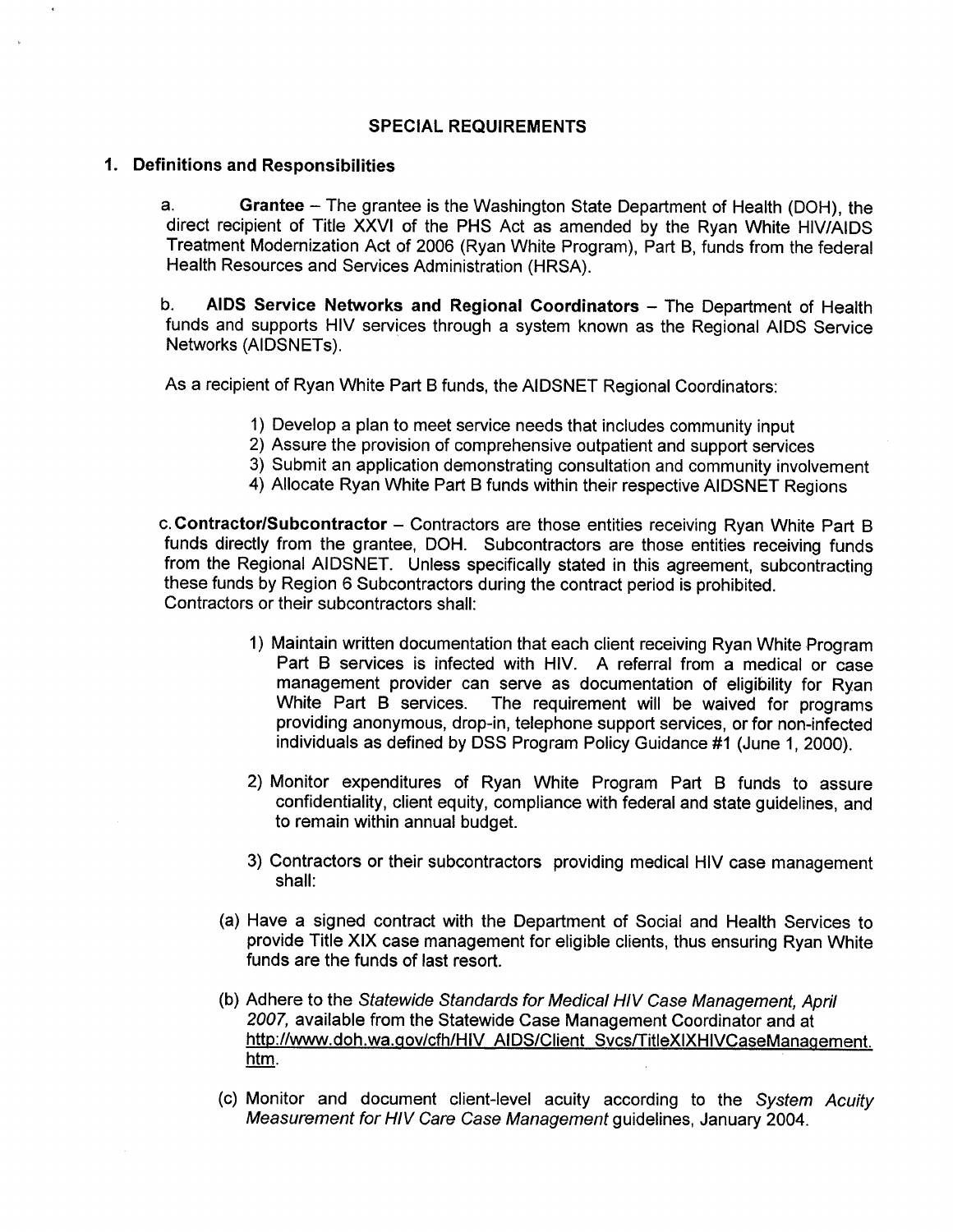## SPECIAL REQUIREMENTS

## 1. Definitions and Responsibilities

a. Grantee - The grantee is the Washington State Department of Health (DOH), the direct recipient of Title XXVI of the PHS Act as amended by the Ryan White HIV/AIDS Treatment Modernization Act of 2006 (Ryan White Program), Part B, funds from the federal Health Resources and Services Administration (HRSA).

b. AIDS Service Networks and Regional Coordinators - The Department of Health funds and supports HIV services through a system known as the Regional AIDS Service Networks (AIDSNETS).

As a recipient of Ryan White Part B funds, the AIDSNET Regional Coordinators:

- 
- 1) Develop a plan to meet service needs that includes community input<br>2) Assure the provision of comprehensive outpatient and support services
- 3) Submit an application demonstrating consultation and community involvement
- 4) Allocate Ryan White Part B funds within their respective AIDSNET Regions

c. Contractor/Subcontractor - Contractors are those entities receiving Ryan White Part B funds directly from the grantee, DOH. Subcontractors are those entities receiving funds from the Regional AIDSNET. Unless specifically stated in this agreement, subcontracting these funds by Region 6 Subcontractors during the contract period is prohibited. Contractors or their subcontractors shall:

- 1) Maintain written documentation that each client receiving Ryan White Program Part B services is infected with HlV. A referral from a medical or case management provider can serve as documentation of eligibility for Ryan White Part B services. The requirement will be waived for programs providing anonymous, drop-in, telephone support services, or for non-infected individuals as defined by DSS Program Policy Guidance #1 (June 1, 2000).
- 2) Monitor expenditures of Ryan White Program Part B funds to assure confidentiality, client equity, compliance with federal and state guidelines, and to remain within annual budget.
- 3) Contractors or their subcontractors providing medical HIV case management shall:
- (a) Have a signed contract with the Department of Socíal and Health Services to provide Title XIX case management for eligible clients, thus ensuring Ryan White funds are the funds of last resort.
- (b) Adhere to the Statewide Standards for Medical HIV Case Management, April 2007, available from the Statewide Case Management Coordinator and at http://www.doh.wa.gov/cfh/HIV AIDS/Client Svcs/TitleXIXHIVCaseManagement. htm.
- (c) Monitor and document client-level acuity according to the Sysfem Acuity Measurement for HIV Care Case Management guidelines, January 2004.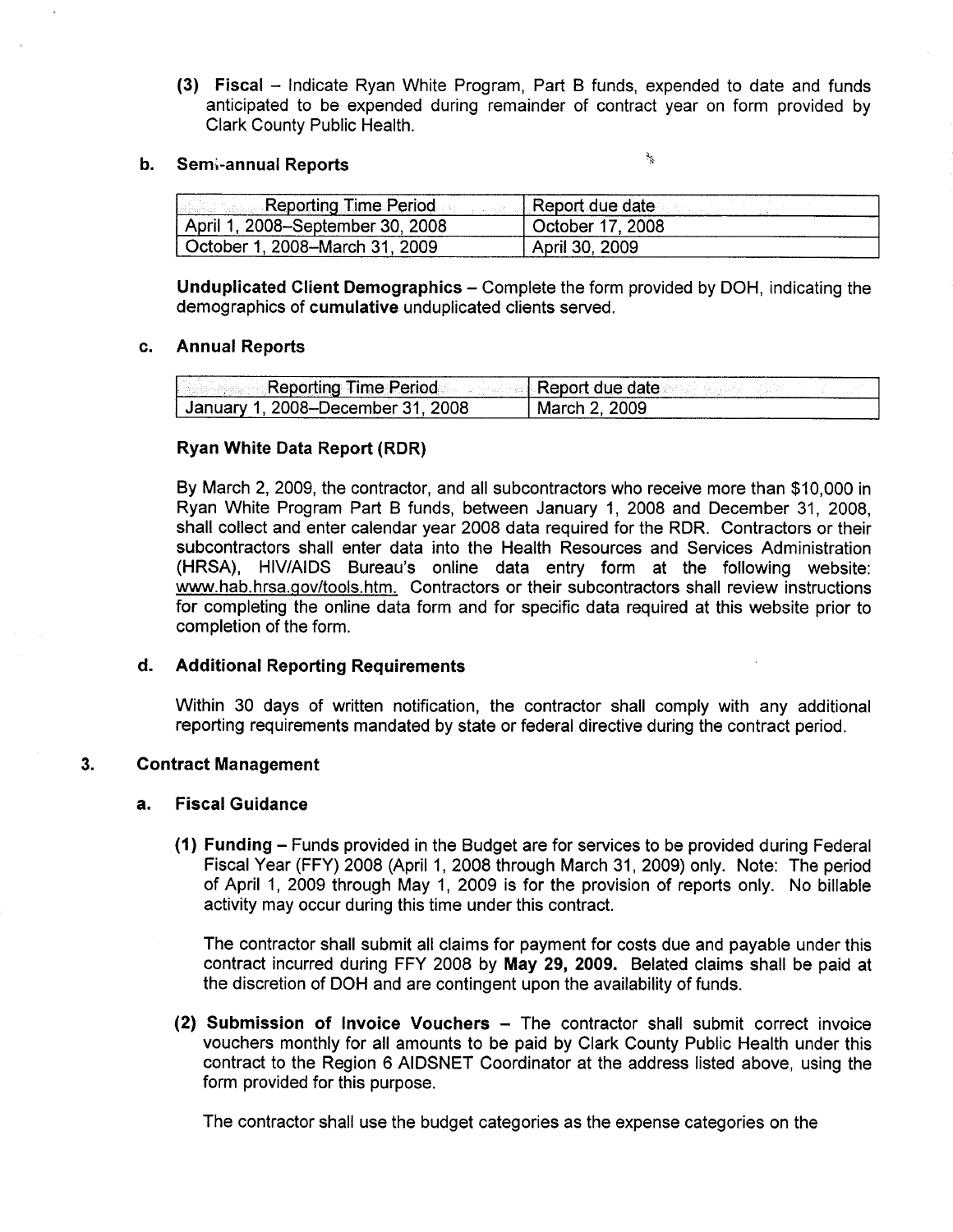(3) Fiscal - Indicate Ryan White Program, Part B funds, expended to date and funds anticipated to be expended during remainder of contract year on form provided by Clark County Public Health.

#### b. Semi-annual Reports

ショ

| Reporting Time Period            | Report due date  |
|----------------------------------|------------------|
| April 1, 2008–September 30, 2008 | October 17, 2008 |
| October 1, 2008–March 31, 2009   | April 30, 2009   |

Unduplicated Client Demographics – Complete the form provided by DOH, indicating the demographics of cumulative unduplicated clients served.

#### Annual Reports  $c_{\cdot}$

| - Reporting Time Period           | Report due date: |
|-----------------------------------|------------------|
| Uanuary 1, 2008–December 31, 2008 | Mar              |

## Ryan White Data Report (RDR)

By March 2,2009, the contractor, and all subcontractors who receive more than \$10,000 in Ryan White Program Part B funds, between January 1,2008 and December 31, 2008, shall collect and enter calendar year 2008 data required for the RDR. Contractors or their subcontractors shall enter data into the Health Resources and Services Administration (HRSA), HIV/AIDS Bureau's online data entry form at the following website: www.hab.hrsa.gov/tools.htm. Contractors or their subcontractors shall review instructions for completing the online data form and for specific data required at this website prior to completion of the form.

## d. Additional Reporting Requirements

Within 30 days of written notification, the contractor shall comply with any additional reporting requirements mandated by state or federal directive during the contract period.

#### 3. Contract Management

## a. Fiscal Guidance

 $(1)$  Funding – Funds provided in the Budget are for services to be provided during Federal Fiscal Year (FFY) 2008 (April 1, 2008 through March 31, 2009) only. Note: The period of April 1, 2009 through May 1, 2009 is for the provision of reports only. No billable activity may occur during this time under this contract.

The contractor shall submit all claims for payment for costs due and payable under this contract incurred during FFY 2008 by May 29, 2009. Belated claims shall be paid at the discretion of DOH and are contingent upon the availability of funds.

 $(2)$  Submission of Invoice Vouchers  $-$  The contractor shall submit correct invoice vouchers monthly for all amounts to be paid by Clark County Public Health under this contract to the Region 6 AIDSNET Coordinator at the address listed above, using the form provided for this purpose.

The contractor shall use the budget categories as the expense categories on the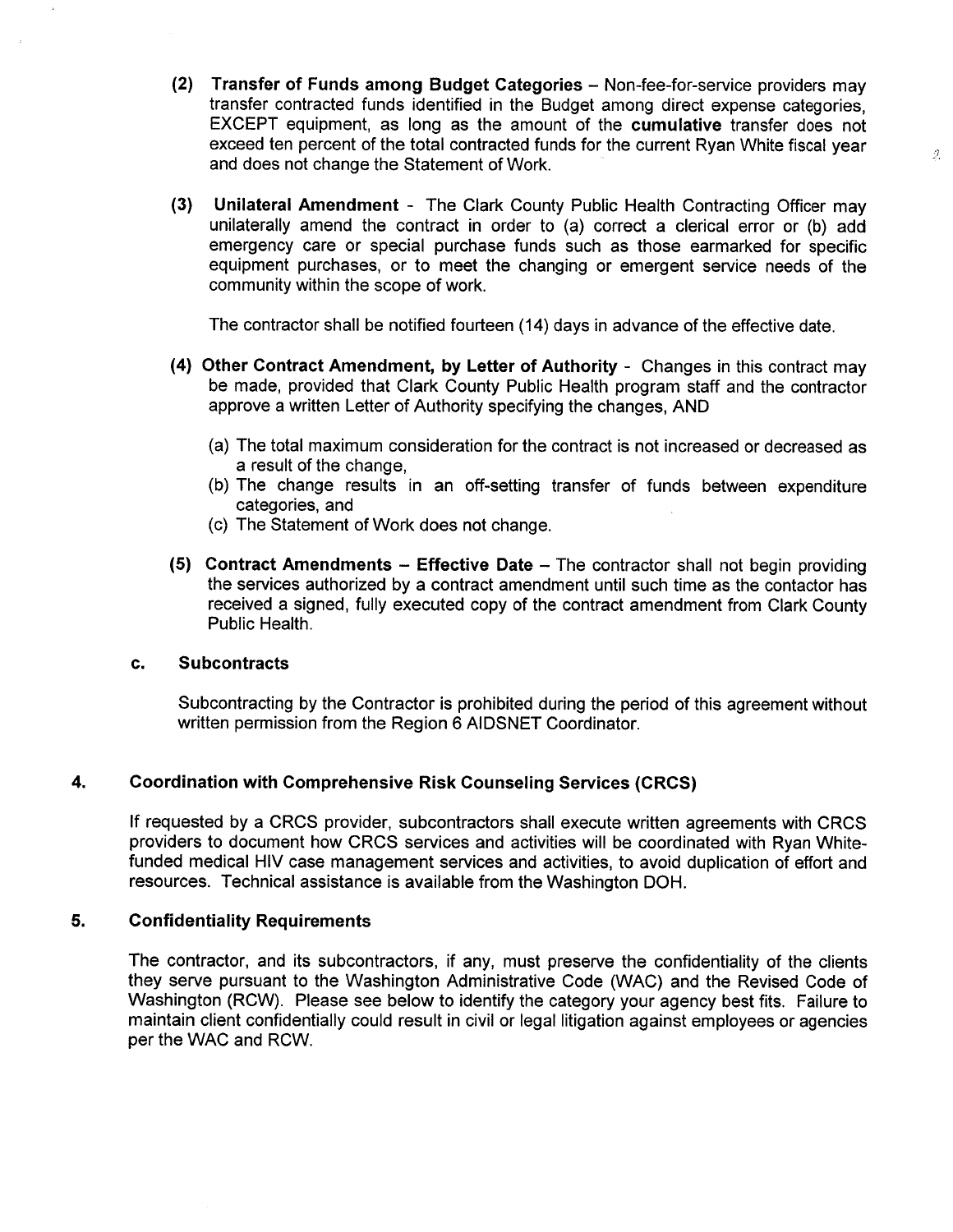(2) Transfer of Funds among Budget Categories - Non-fee-for-service providers may transfer contracted funds identified in the Budget among direct expense categories, EXCEPT equipment, as long as the amount of the cumulative transfer does not exceed ten percent of the total contracted funds for the current Ryan White fiscal year and does not change the Statement of Work.

 $\mathcal{J}_\mathrm{c}$ 

(3) Unilateral Amendment - The Clark County Public Health Contracting Officer may unilaterally amend the contract in order to (a) correct a clerical error or (b) add emergency care or special purchase funds such as those earmarked for specific equipment purchases, or to meet the changing or emergent service needs of the community within the scope of work.

The contractor shall be notified fourteen (14) days in advance of the effective date.

- (4) Other Gontract Amendment, by Letter of Authority Changes in this contract may be made, provided that Clark County Public Health program staff and the contractor approve a written Letter of Authority specifying the changes, AND
	- (a) The total maximum consideration for the contract is not increased or decreased as a result of the change,
	- (b) The change results in an off-setting transfer of funds between expenditure categories, and
	- (c) The Statement of Work does not change.
- (5) Contract Amendments Effective Date The contractor shall not begin providing the services authorized by a contract amendment until such time as the contactor has received a signed, fully executed copy of the contract amendment from Clark County Public Health.

## c. Subcontracts

Subcontracting by the Contractor is prohibited during the period of this agreement without written permission from the Region 6 AIDSNET Coordinator.

#### 4. Goordination with Gomprehensive Risk Counseling Seruices (CRCS)

lf requested by a CRCS provider, subcontractors shall execute written agreements with CRCS providers to document how CRCS services and activities will be coordinated with Ryan Whitefunded medical HIV case management services and activities, to avoid duplication of effort and resources. Technical assistance is available from the Washington DOH.

#### 5. **Confidentiality Requirements**

The contractor, and its subcontractors, if any, must preserve the confidentiality of the clients they serve pursuant to the Washington Administrative Code (WAC) and the Revised Code of Washington (RCW). Please see below to identify the category your agency best fits. Failure to maintain client confidentially could result in civil or legal litigation against employees or agencies per the WAC and RCW.